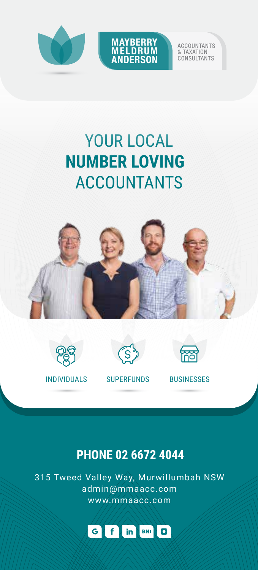



ACCOUNTANTS & TAXATION CONSULTANTS

## YOUR LOCAL **NUMBER LOVING**  ACCOUNTANTS









INDIVIDUALS SUPERFUNDS BUSINESSES

### **PHONE 02 6672 4044**

315 Tweed Valley Way, Murwillumbah NSW admin@mmaacc.com www.mmaacc.com